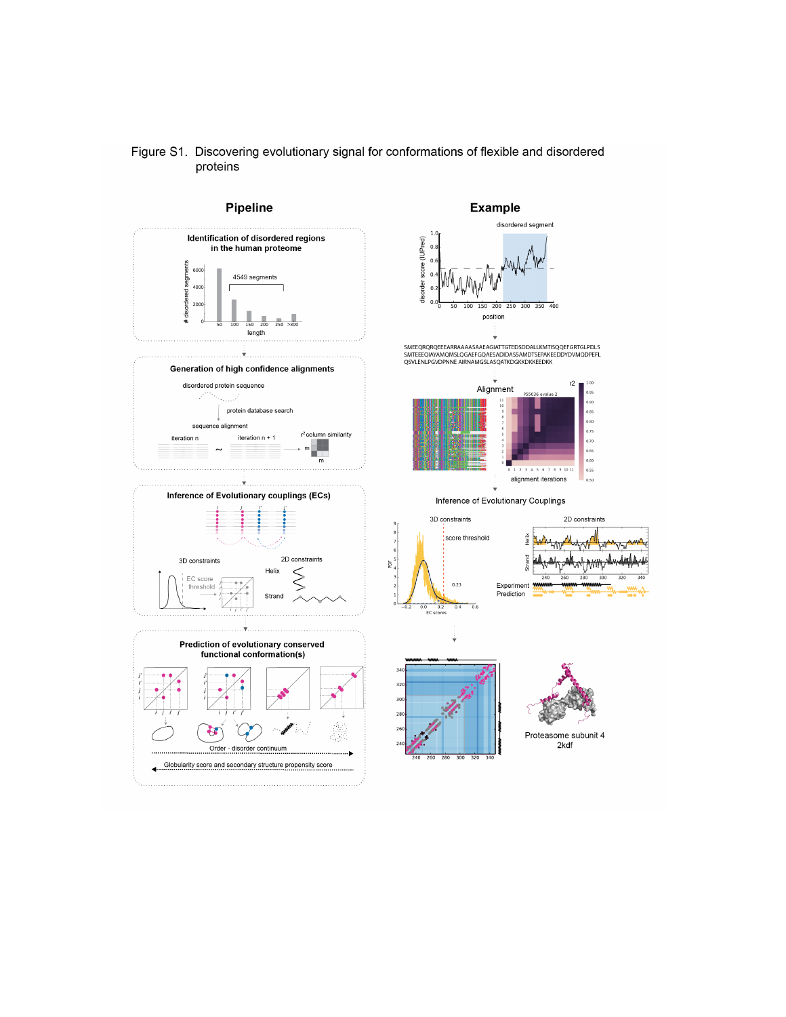

Figure S1. Discovering evolutionary signal for conformations of flexible and disordered

proteins